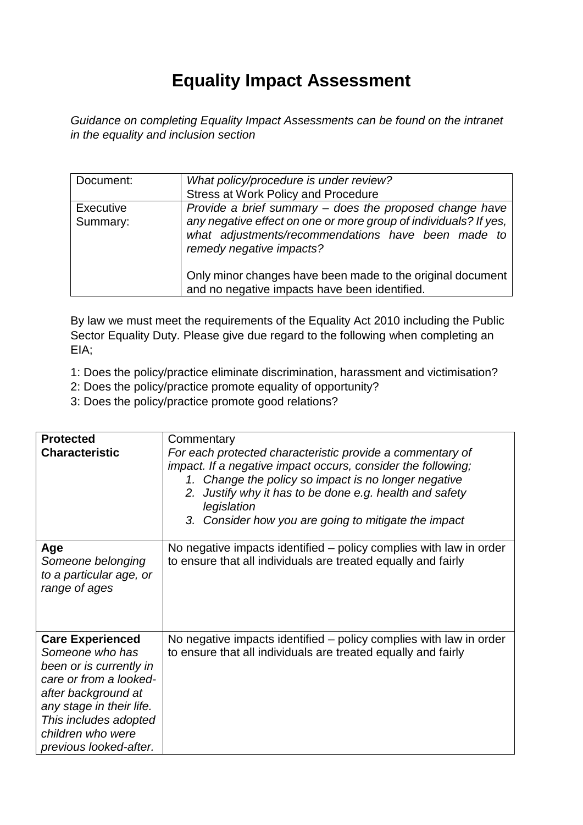## **Equality Impact Assessment**

*Guidance on completing Equality Impact Assessments can be found on the intranet in the equality and inclusion section* 

| Document:                    | What policy/procedure is under review?<br><b>Stress at Work Policy and Procedure</b>                                                                                                                                                                                        |
|------------------------------|-----------------------------------------------------------------------------------------------------------------------------------------------------------------------------------------------------------------------------------------------------------------------------|
| <b>Executive</b><br>Summary: | Provide a brief summary – does the proposed change have<br>any negative effect on one or more group of individuals? If yes,<br>what adjustments/recommendations have been made to<br>remedy negative impacts?<br>Only minor changes have been made to the original document |
|                              | and no negative impacts have been identified.                                                                                                                                                                                                                               |

By law we must meet the requirements of the Equality Act 2010 including the Public Sector Equality Duty. Please give due regard to the following when completing an EIA;

1: Does the policy/practice eliminate discrimination, harassment and victimisation?

- 2: Does the policy/practice promote equality of opportunity?
- 3: Does the policy/practice promote good relations?

| <b>Protected</b><br><b>Characteristic</b>                                                                                                                                                                                  | Commentary<br>For each protected characteristic provide a commentary of<br>impact. If a negative impact occurs, consider the following;<br>1. Change the policy so impact is no longer negative<br>Justify why it has to be done e.g. health and safety<br>2.<br>legislation<br>3. Consider how you are going to mitigate the impact |
|----------------------------------------------------------------------------------------------------------------------------------------------------------------------------------------------------------------------------|--------------------------------------------------------------------------------------------------------------------------------------------------------------------------------------------------------------------------------------------------------------------------------------------------------------------------------------|
| Age<br>Someone belonging<br>to a particular age, or<br>range of ages                                                                                                                                                       | No negative impacts identified – policy complies with law in order<br>to ensure that all individuals are treated equally and fairly                                                                                                                                                                                                  |
| <b>Care Experienced</b><br>Someone who has<br>been or is currently in<br>care or from a looked-<br>after background at<br>any stage in their life.<br>This includes adopted<br>children who were<br>previous looked-after. | No negative impacts identified – policy complies with law in order<br>to ensure that all individuals are treated equally and fairly                                                                                                                                                                                                  |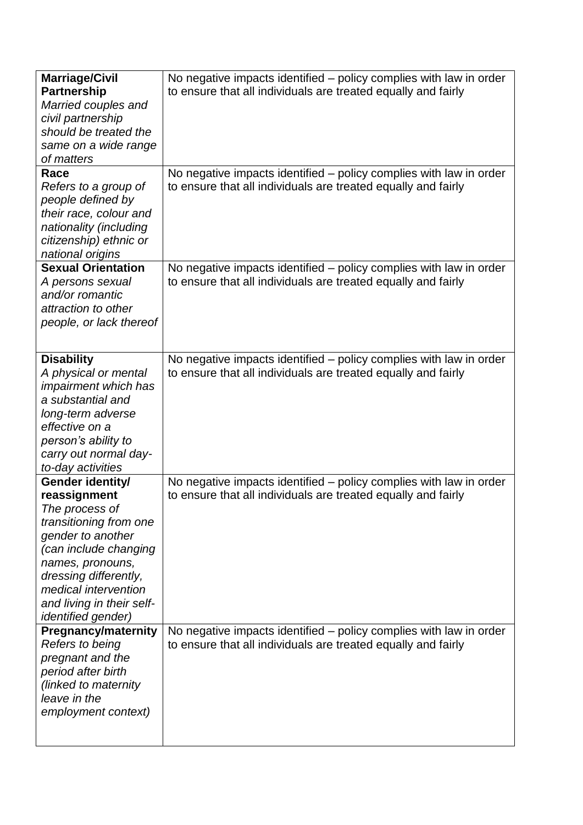| <b>Marriage/Civil</b><br><b>Partnership</b><br>Married couples and<br>civil partnership<br>should be treated the<br>same on a wide range<br>of matters<br>Race                                                                                            | No negative impacts identified – policy complies with law in order<br>to ensure that all individuals are treated equally and fairly<br>No negative impacts identified – policy complies with law in order |
|-----------------------------------------------------------------------------------------------------------------------------------------------------------------------------------------------------------------------------------------------------------|-----------------------------------------------------------------------------------------------------------------------------------------------------------------------------------------------------------|
| Refers to a group of<br>people defined by<br>their race, colour and<br>nationality (including<br>citizenship) ethnic or<br>national origins                                                                                                               | to ensure that all individuals are treated equally and fairly                                                                                                                                             |
| <b>Sexual Orientation</b><br>A persons sexual<br>and/or romantic<br>attraction to other<br>people, or lack thereof                                                                                                                                        | No negative impacts identified - policy complies with law in order<br>to ensure that all individuals are treated equally and fairly                                                                       |
| <b>Disability</b><br>A physical or mental<br><i>impairment which has</i><br>a substantial and<br>long-term adverse<br>effective on a<br>person's ability to<br>carry out normal day-<br>to-day activities                                                 | No negative impacts identified - policy complies with law in order<br>to ensure that all individuals are treated equally and fairly                                                                       |
| Gender identity/<br>reassignment<br>The process of<br>transitioning from one<br>gender to another<br>(can include changing<br>names, pronouns,<br>dressing differently,<br>medical intervention<br>and living in their self-<br><i>identified gender)</i> | No negative impacts identified - policy complies with law in order<br>to ensure that all individuals are treated equally and fairly                                                                       |
| <b>Pregnancy/maternity</b><br>Refers to being<br>pregnant and the<br>period after birth<br>(linked to maternity<br>leave in the<br>employment context)                                                                                                    | No negative impacts identified – policy complies with law in order<br>to ensure that all individuals are treated equally and fairly                                                                       |